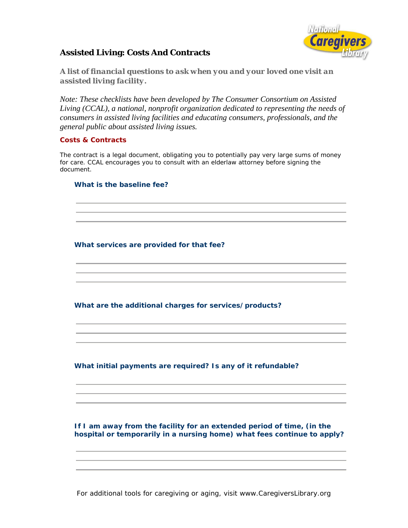

# **Assisted Living: Costs And Contracts**

*A list of financial questions to ask when you and your loved one visit an assisted living facility.* 

*Note: These checklists have been developed by The Consumer Consortium on Assisted Living (CCAL), a national, nonprofit organization dedicated to representing the needs of consumers in assisted living facilities and educating consumers, professionals, and the general public about assisted living issues.* 

#### **Costs & Contracts**

The contract is a legal document, obligating you to potentially pay very large sums of money for care. CCAL encourages you to consult with an elderlaw attorney before signing the document.

#### **What is the baseline fee?**

## **What services are provided for that fee?**

**What are the additional charges for services/products?** 

## **What initial payments are required? Is any of it refundable?**

 **If I am away from the facility for an extended period of time, (in the hospital or temporarily in a nursing home) what fees continue to apply?**

For additional tools for caregiving or aging, visit www.CaregiversLibrary.org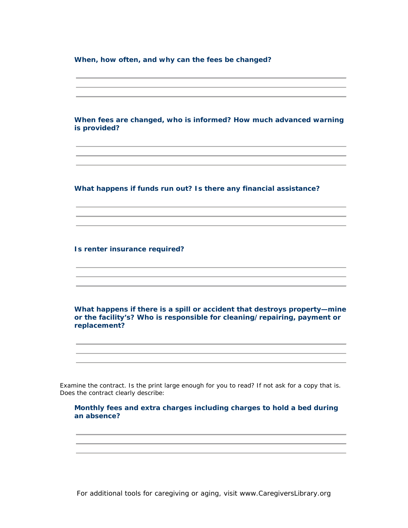**When, how often, and why can the fees be changed?** 

 **When fees are changed, who is informed? How much advanced warning is provided?** 

**What happens if funds run out? Is there any financial assistance?** 

**Is renter insurance required?** 

**What happens if there is a spill or accident that destroys property—mine or the facility's? Who is responsible for cleaning/repairing, payment or replacement?**

Examine the contract. Is the print large enough for you to read? If not ask for a copy that is. Does the contract clearly describe:

 **Monthly fees and extra charges including charges to hold a bed during an absence?** 

For additional tools for caregiving or aging, visit www.CaregiversLibrary.org